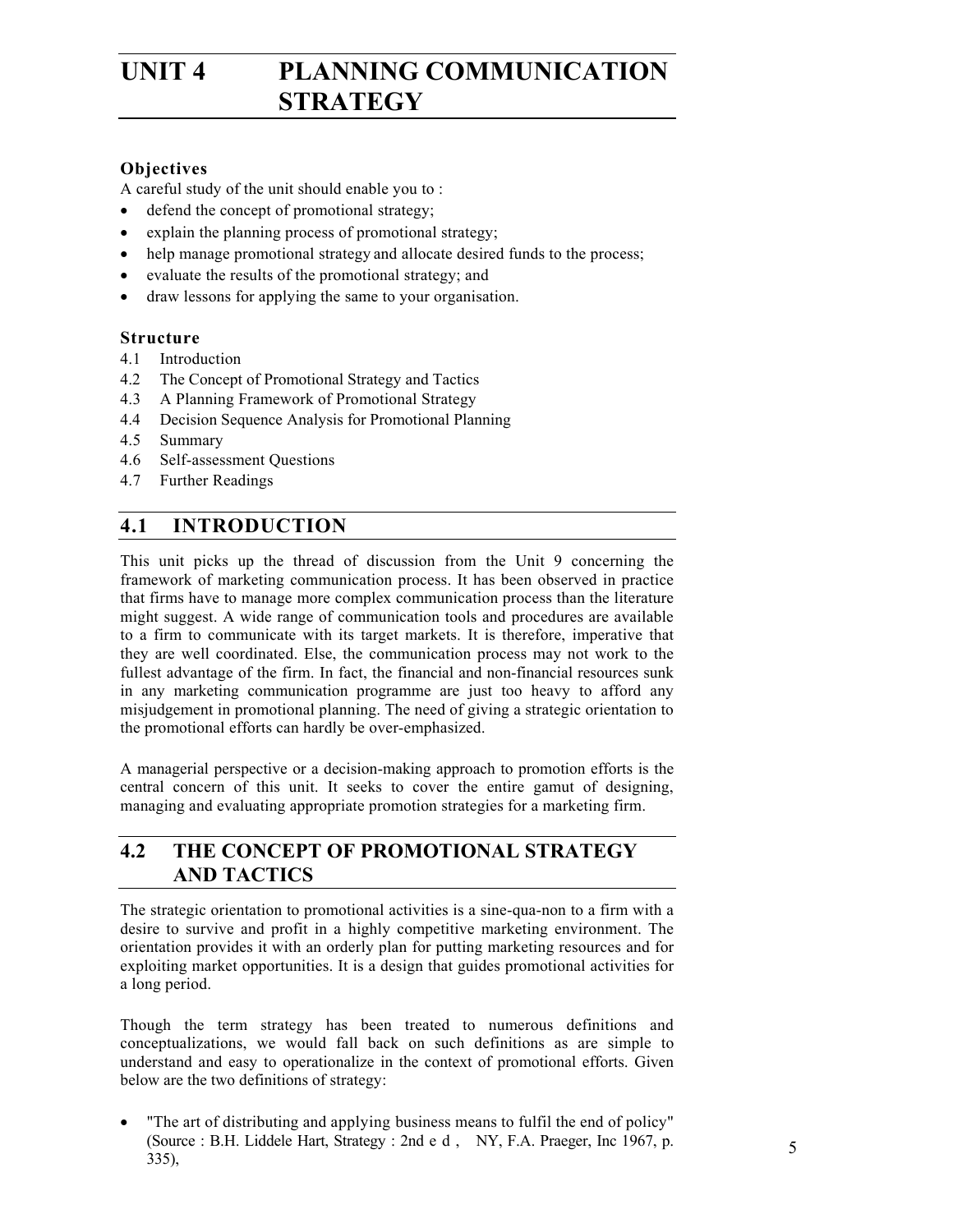# UNIT 4 PLANNING COMMUNICATION **STRATEGY**

# **Objectives**

A careful study of the unit should enable you to :

- defend the concept of promotional strategy;
- explain the planning process of promotional strategy;
- help manage promotional strategy and allocate desired funds to the process;
- evaluate the results of the promotional strategy; and
- draw lessons for applying the same to your organisation.

### **Structure**

- 4.1 Introduction
- 4.2 The Concept of Promotional Strategy and Tactics
- 4.3 A Planning Framework of Promotional Strategy
- 4.4 Decision Sequence Analysis for Promotional Planning
- 4.5 Summary
- 4.6 Self-assessment Questions
- 4.7 Further Readings

# **4.1 INTRODUCTION**

This unit picks up the thread of discussion from the Unit 9 concerning the framework of marketing communication process. It has been observed in practice that firms have to manage more complex communication process than the literature might suggest. A wide range of communication tools and procedures are available to a firm to communicate with its target markets. It is therefore, imperative that they are well coordinated. Else, the communication process may not work to the fullest advantage of the firm. In fact, the financial and non-financial resources sunk in any marketing communication programme are just too heavy to afford any misjudgement in promotional planning. The need of giving a strategic orientation to the promotional efforts can hardly be over-emphasized.

A managerial perspective or a decision-making approach to promotion efforts is the central concern of this unit. It seeks to cover the entire gamut of designing, managing and evaluating appropriate promotion strategies for a marketing firm.

# **4.2 THE CONCEPT OF PROMOTIONAL STRATEGY AND TACTICS**

The strategic orientation to promotional activities is a sine-qua-non to a firm with a desire to survive and profit in a highly competitive marketing environment. The orientation provides it with an orderly plan for putting marketing resources and for exploiting market opportunities. It is a design that guides promotional activities for a long period.

Though the term strategy has been treated to numerous definitions and conceptualizations, we would fall back on such definitions as are simple to understand and easy to operationalize in the context of promotional efforts. Given below are the two definitions of strategy:

• "The art of distributing and applying business means to fulfil the end of policy" (Source : B.H. Liddele Hart, Strategy : 2nd e d , NY, F.A. Praeger, Inc 1967, p. 335),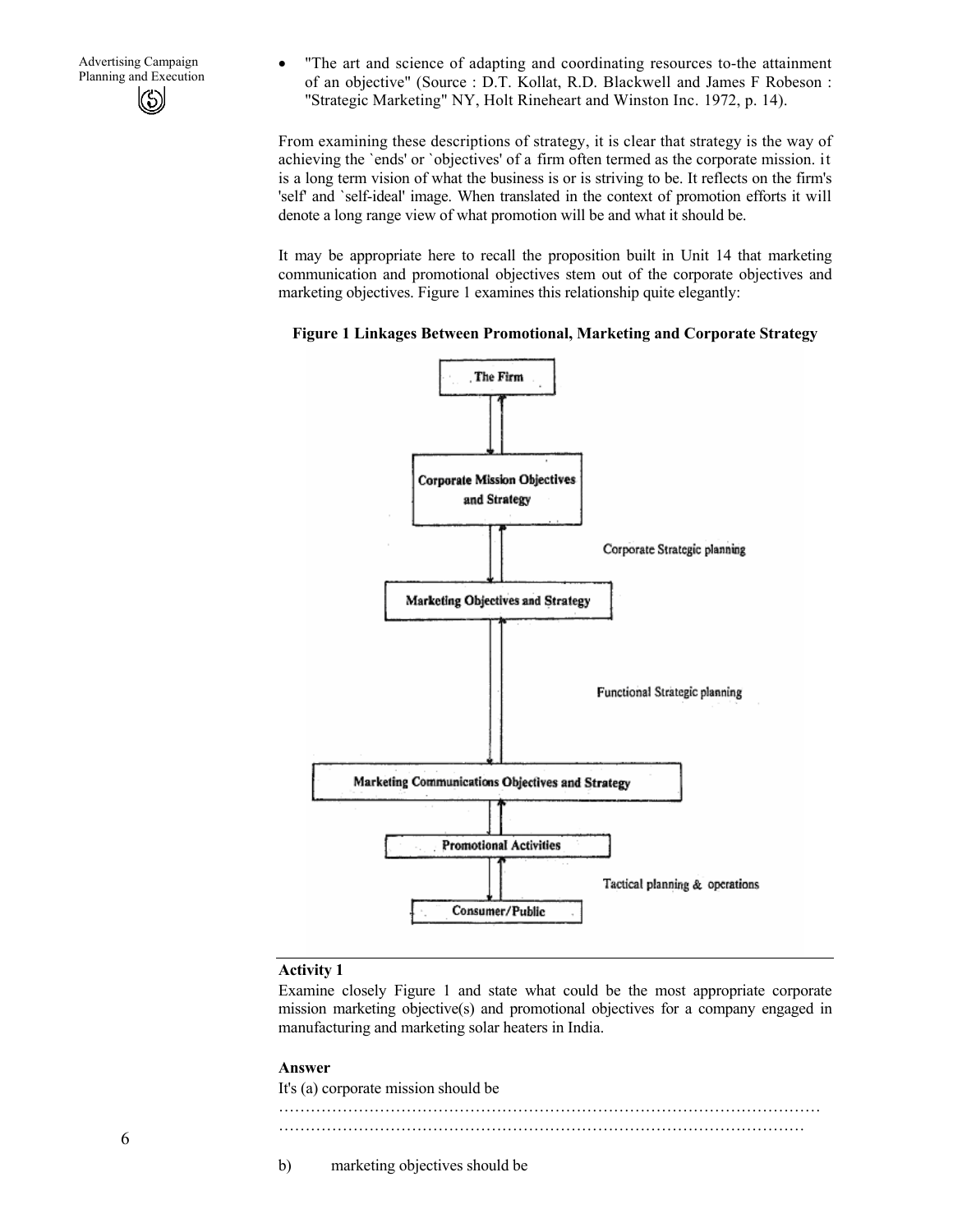Advertising Campaign<br>
Planning and Execution<br>  $\bullet$  The art and science of adapting and coordinating resources to-the attainment<br>  $\bullet$  The art and science of adapting and coordinating resources to-the attainment<br>  $\bullet$  Planc of an objective" (Source : D.T. Kollat, R.D. Blackwell and James F Robeson : "Strategic Marketing" NY, Holt Rineheart and Winston Inc. 1972, p. 14).

> From examining these descriptions of strategy, it is clear that strategy is the way of achieving the `ends' or `objectives' of a firm often termed as the corporate mission. it is a long term vision of what the business is or is striving to be. It reflects on the firm's 'self' and `self-ideal' image. When translated in the context of promotion efforts it will denote a long range view of what promotion will be and what it should be.

> It may be appropriate here to recall the proposition built in Unit 14 that marketing communication and promotional objectives stem out of the corporate objectives and marketing objectives. Figure 1 examines this relationship quite elegantly:





### **Activity 1**

Examine closely Figure 1 and state what could be the most appropriate corporate mission marketing objective(s) and promotional objectives for a company engaged in manufacturing and marketing solar heaters in India.

#### **Answer**

It's (a) corporate mission should be ………………………………………………………………………………………… ………………………………………………………………………………………

b) marketing objectives should be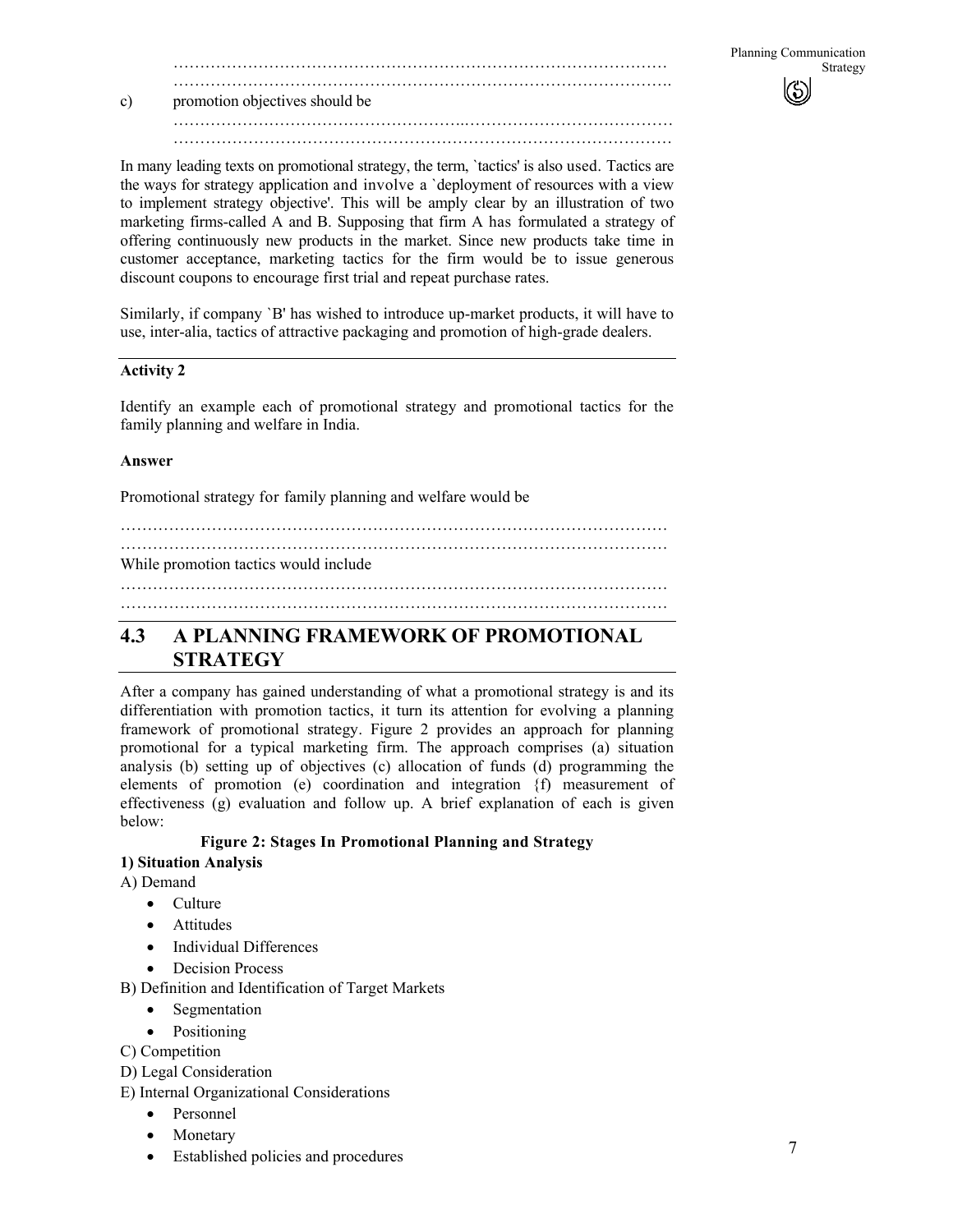# c) promotion objectives should be

In many leading texts on promotional strategy, the term, `tactics' is also used. Tactics are the ways for strategy application and involve a `deployment of resources with a view to implement strategy objective'. This will be amply clear by an illustration of two marketing firms-called A and B. Supposing that firm A has formulated a strategy of offering continuously new products in the market. Since new products take time in customer acceptance, marketing tactics for the firm would be to issue generous discount coupons to encourage first trial and repeat purchase rates.

……………………………………………….………………………………… …………………………………………………………………………………

Similarly, if company `B' has wished to introduce up-market products, it will have to use, inter-alia, tactics of attractive packaging and promotion of high-grade dealers.

### **Activity 2**

Identify an example each of promotional strategy and promotional tactics for the family planning and welfare in India.

### **Answer**

Promotional strategy for family planning and welfare would be

### While promotion tactics would include

…………………………………………………………………………………………

# **4.3 A PLANNING FRAMEWORK OF PROMOTIONAL STRATEGY**

After a company has gained understanding of what a promotional strategy is and its differentiation with promotion tactics, it turn its attention for evolving a planning framework of promotional strategy. Figure 2 provides an approach for planning promotional for a typical marketing firm. The approach comprises (a) situation analysis (b) setting up of objectives (c) allocation of funds (d) programming the elements of promotion (e) coordination and integration {f) measurement of effectiveness (g) evaluation and follow up. A brief explanation of each is given below:

# **Figure 2: Stages In Promotional Planning and Strategy**

# **1) Situation Analysis**

A) Demand

- Culture
- Attitudes
- Individual Differences
- Decision Process
- B) Definition and Identification of Target Markets
	- **Segmentation**
	- Positioning
- C) Competition
- D) Legal Consideration
- E) Internal Organizational Considerations
	- Personnel
	- **Monetary**
	- Established policies and procedures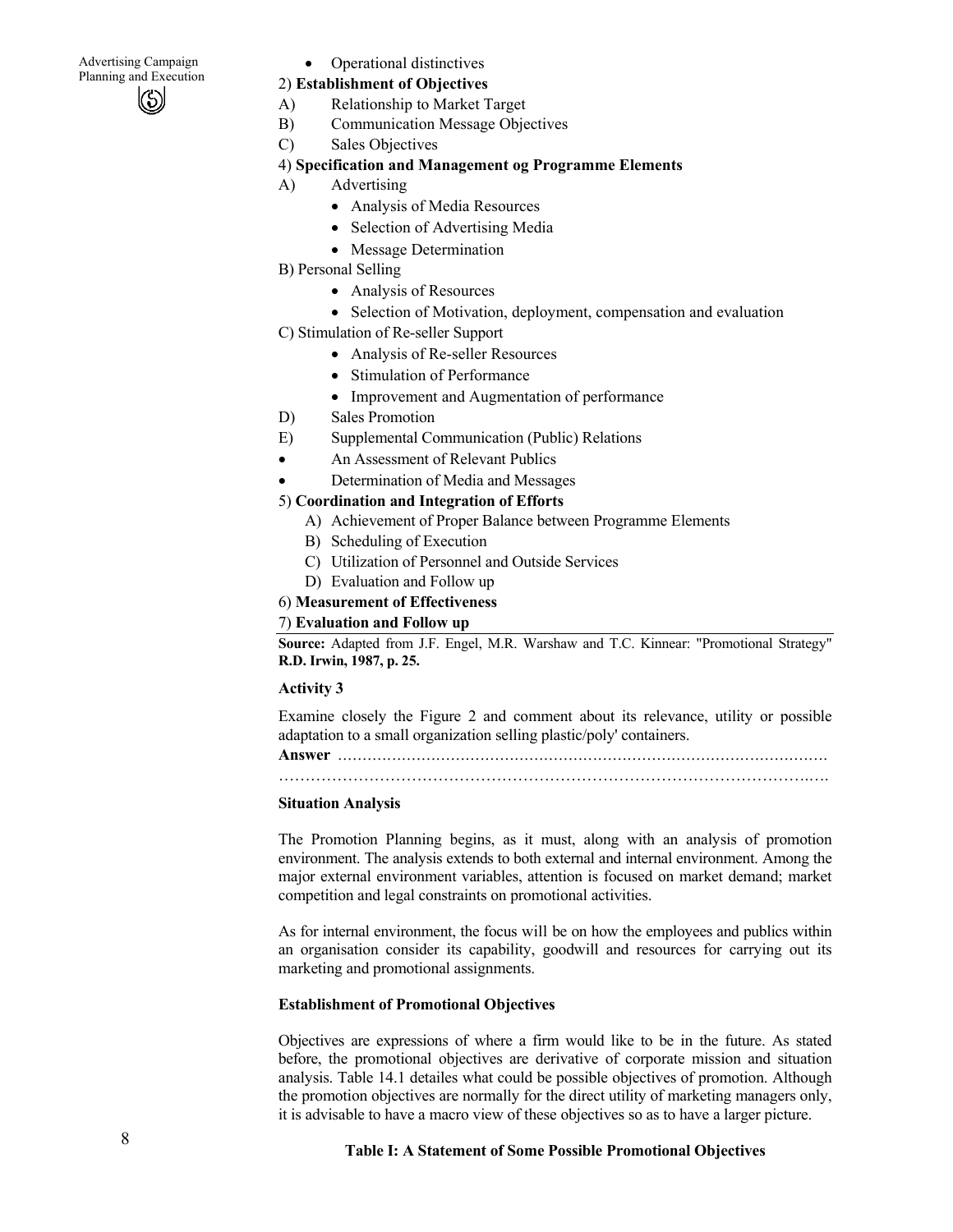Advertising Campaign Advertising Campaign<br>
Planning and Execution<br>
2) Establishment of Obiastives

### 2) **Establishment of Objectives**

- A) Relationship to Market Target
- B) Communication Message Objectives
- C) Sales Objectives

### 4) **Specification and Management og Programme Elements**

- A) Advertising
	- Analysis of Media Resources
	- Selection of Advertising Media
	- Message Determination
- B) Personal Selling
	- Analysis of Resources
	- Selection of Motivation, deployment, compensation and evaluation
- C) Stimulation of Re-seller Support
	- Analysis of Re-seller Resources
	- Stimulation of Performance
	- Improvement and Augmentation of performance
- D) Sales Promotion
- E) Supplemental Communication (Public) Relations
- An Assessment of Relevant Publics
- Determination of Media and Messages
- 5) **Coordination and Integration of Efforts** 
	- A) Achievement of Proper Balance between Programme Elements
	- B) Scheduling of Execution
	- C) Utilization of Personnel and Outside Services
	- D) Evaluation and Follow up
- 6) **Measurement of Effectiveness**

### 7) **Evaluation and Follow up**

**Source:** Adapted from J.F. Engel, M.R. Warshaw and T.C. Kinnear: "Promotional Strategy" **R.D. Irwin, 1987, p. 25.** 

### **Activity 3**

Examine closely the Figure 2 and comment about its relevance, utility or possible adaptation to a small organization selling plastic/poly' containers.

**Answer** ....................................................................................................

……………………………………………………………………………………….….

### **Situation Analysis**

The Promotion Planning begins, as it must, along with an analysis of promotion environment. The analysis extends to both external and internal environment. Among the major external environment variables, attention is focused on market demand; market competition and legal constraints on promotional activities.

As for internal environment, the focus will be on how the employees and publics within an organisation consider its capability, goodwill and resources for carrying out its marketing and promotional assignments.

### **Establishment of Promotional Objectives**

Objectives are expressions of where a firm would like to be in the future. As stated before, the promotional objectives are derivative of corporate mission and situation analysis. Table 14.1 detailes what could be possible objectives of promotion. Although the promotion objectives are normally for the direct utility of marketing managers only, it is advisable to have a macro view of these objectives so as to have a larger picture.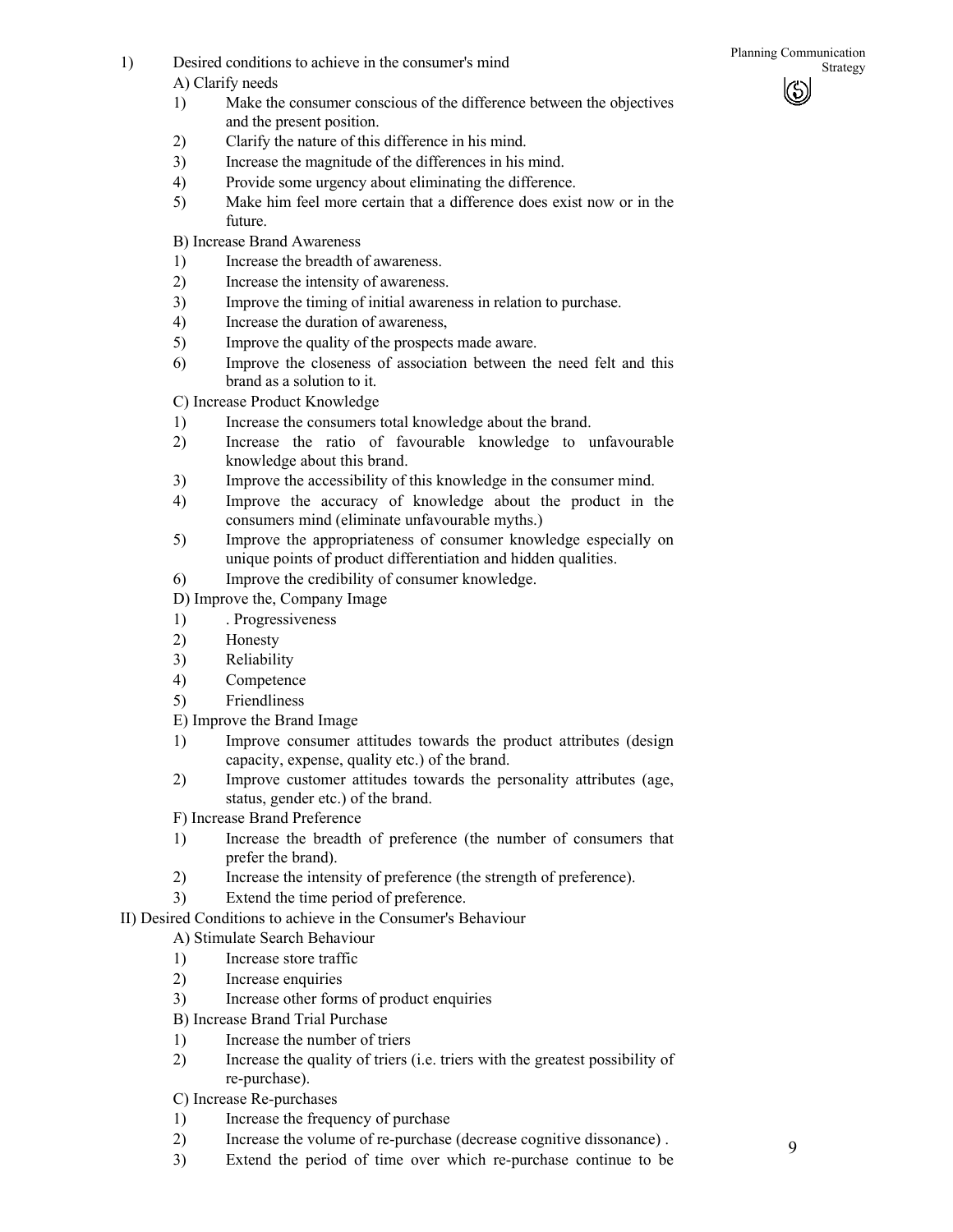- 1) Desired conditions to achieve in the consumer's mind<br>Strategy A) Clarify needs
	- 1) Make the consumer conscious of the difference between the objectives and the present position.
	- 2) Clarify the nature of this difference in his mind.
	- 3) Increase the magnitude of the differences in his mind.
	- 4) Provide some urgency about eliminating the difference.
	- 5) Make him feel more certain that a difference does exist now or in the future.

B) Increase Brand Awareness

- 1) Increase the breadth of awareness.
- 2) Increase the intensity of awareness.
- 3) Improve the timing of initial awareness in relation to purchase.
- 4) Increase the duration of awareness,
- 5) Improve the quality of the prospects made aware.
- 6) Improve the closeness of association between the need felt and this brand as a solution to it.

C) Increase Product Knowledge

- 1) Increase the consumers total knowledge about the brand.
- 2) Increase the ratio of favourable knowledge to unfavourable knowledge about this brand.
- 3) Improve the accessibility of this knowledge in the consumer mind.
- 4) Improve the accuracy of knowledge about the product in the consumers mind (eliminate unfavourable myths.)
- 5) Improve the appropriateness of consumer knowledge especially on unique points of product differentiation and hidden qualities.
- 6) Improve the credibility of consumer knowledge.
- D) Improve the, Company Image
- 1) . Progressiveness
- 2) Honesty
- 3) Reliability
- 4) Competence
- 5) Friendliness
- E) Improve the Brand Image
- 1) Improve consumer attitudes towards the product attributes (design capacity, expense, quality etc.) of the brand.
- 2) Improve customer attitudes towards the personality attributes (age, status, gender etc.) of the brand.

F) Increase Brand Preference

- 1) Increase the breadth of preference (the number of consumers that prefer the brand).
- 2) Increase the intensity of preference (the strength of preference).
- 3) Extend the time period of preference.

II) Desired Conditions to achieve in the Consumer's Behaviour

### A) Stimulate Search Behaviour

- 1) Increase store traffic
- 2) Increase enquiries
- 3) Increase other forms of product enquiries
- B) Increase Brand Trial Purchase
- 1) Increase the number of triers
- 2) Increase the quality of triers (i.e. triers with the greatest possibility of re-purchase).

C) Increase Re-purchases

- 1) Increase the frequency of purchase
- 2) Increase the volume of re-purchase (decrease cognitive dissonance) .
- 3) Extend the period of time over which re-purchase continue to be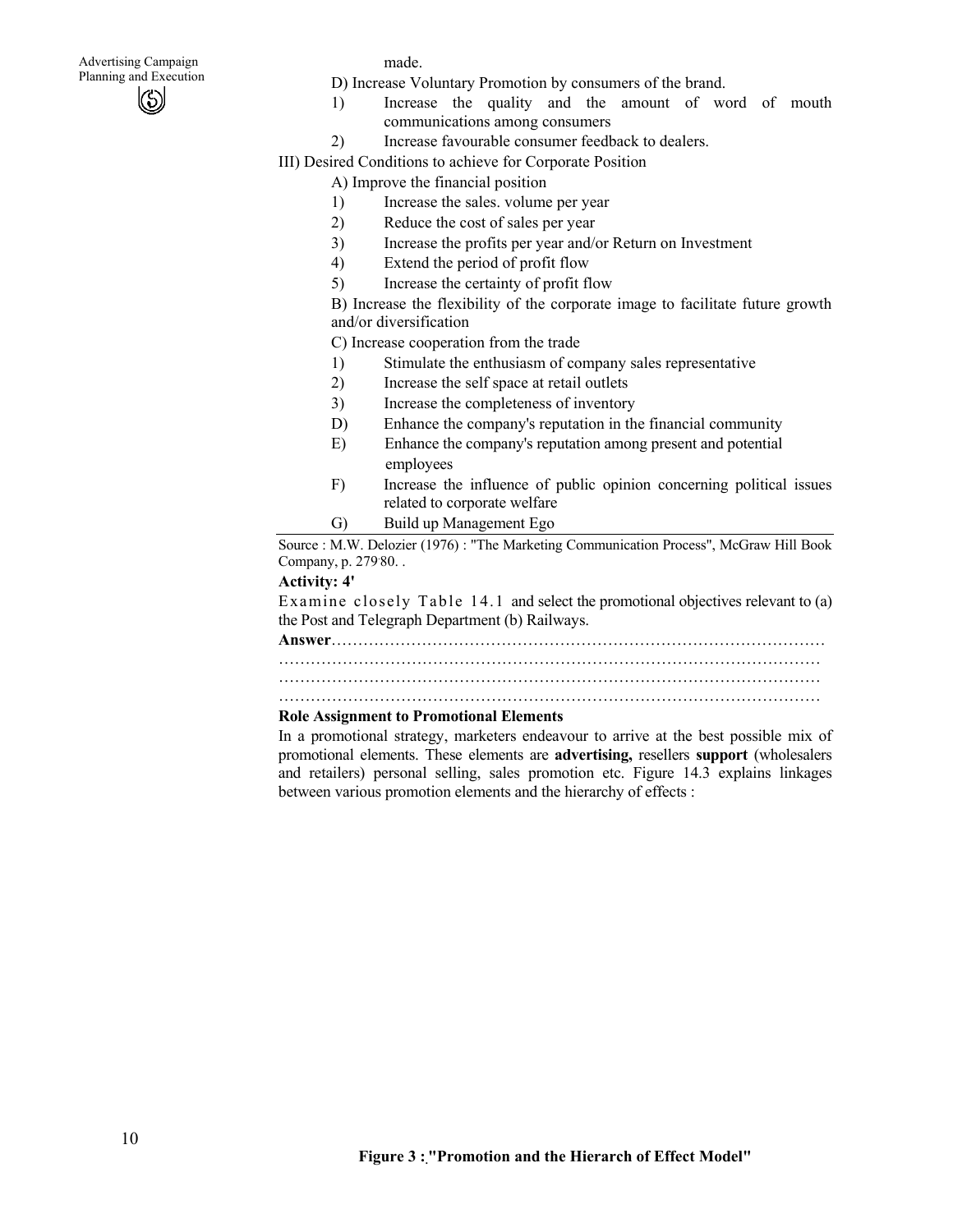made.

- D) Increase Voluntary Promotion by consumers of the brand.
- 1) Increase the quality and the amount of word of mouth communications among consumers
- 2) Increase favourable consumer feedback to dealers.

III) Desired Conditions to achieve for Corporate Position

A) Improve the financial position

- 1) Increase the sales. volume per year
- 2) Reduce the cost of sales per year
- 3) Increase the profits per year and/or Return on Investment
- 4) Extend the period of profit flow
- 5) Increase the certainty of profit flow

B) Increase the flexibility of the corporate image to facilitate future growth and/or diversification

C) Increase cooperation from the trade

- 1) Stimulate the enthusiasm of company sales representative
- 2) Increase the self space at retail outlets
- 3) Increase the completeness of inventory
- D) Enhance the company's reputation in the financial community
- E) Enhance the company's reputation among present and potential employees
- F) Increase the influence of public opinion concerning political issues related to corporate welfare
- G) Build up Management Ego

Source : M.W. Delozier (1976) : "The Marketing Communication Process", McGraw Hill Book Company, p. 279. 80. .

### **Activity: 4'**

Examine closely Table 14.1 and select the promotional objectives relevant to (a) the Post and Telegraph Department (b) Railways.

**Answer**…………………………………………………………………………………

………………………………………………………………………………………… …………………………………………………………………………………………

…………………………………………………………………………………………

### **Role Assignment to Promotional Elements**

In a promotional strategy, marketers endeavour to arrive at the best possible mix of promotional elements. These elements are **advertising,** resellers **support** (wholesalers and retailers) personal selling, sales promotion etc. Figure 14.3 explains linkages between various promotion elements and the hierarchy of effects :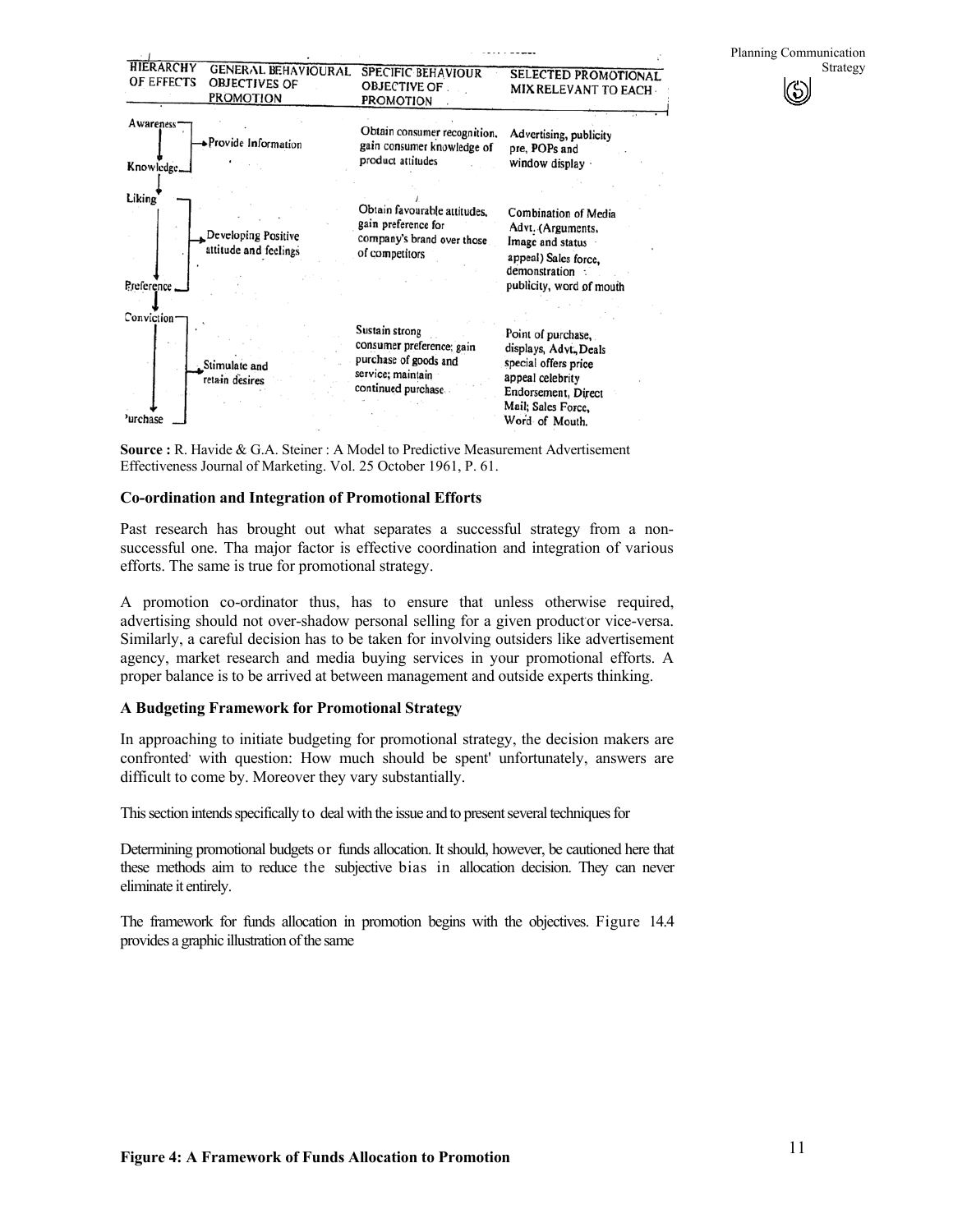

**Source :** R. Havide & G.A. Steiner : A Model to Predictive Measurement Advertisement Effectiveness Journal of Marketing. Vol. 25 October 1961, P. 61.

#### **Co-ordination and Integration of Promotional Efforts**

Past research has brought out what separates a successful strategy from a nonsuccessful one. Tha major factor is effective coordination and integration of various efforts. The same is true for promotional strategy.

A promotion co-ordinator thus, has to ensure that unless otherwise required, advertising should not over-shadow personal selling for a given productor vice-versa. Similarly, a careful decision has to be taken for involving outsiders like advertisement agency, market research and media buying services in your promotional efforts. A proper balance is to be arrived at between management and outside experts thinking.

#### **A Budgeting Framework for Promotional Strategy**

In approaching to initiate budgeting for promotional strategy, the decision makers are confronted with question: How much should be spent' unfortunately, answers are difficult to come by. Moreover they vary substantially.

This section intends specifically to deal with the issue and to present several techniques for

Determining promotional budgets or funds allocation. It should, however, be cautioned here that these methods aim to reduce the subjective bias in allocation decision. They can never eliminate it entirely.

The framework for funds allocation in promotion begins with the objectives. Figure 14.4 provides a graphic illustration of the same

Planning Communication

 $\left(\bullet\right)$ 

Strategy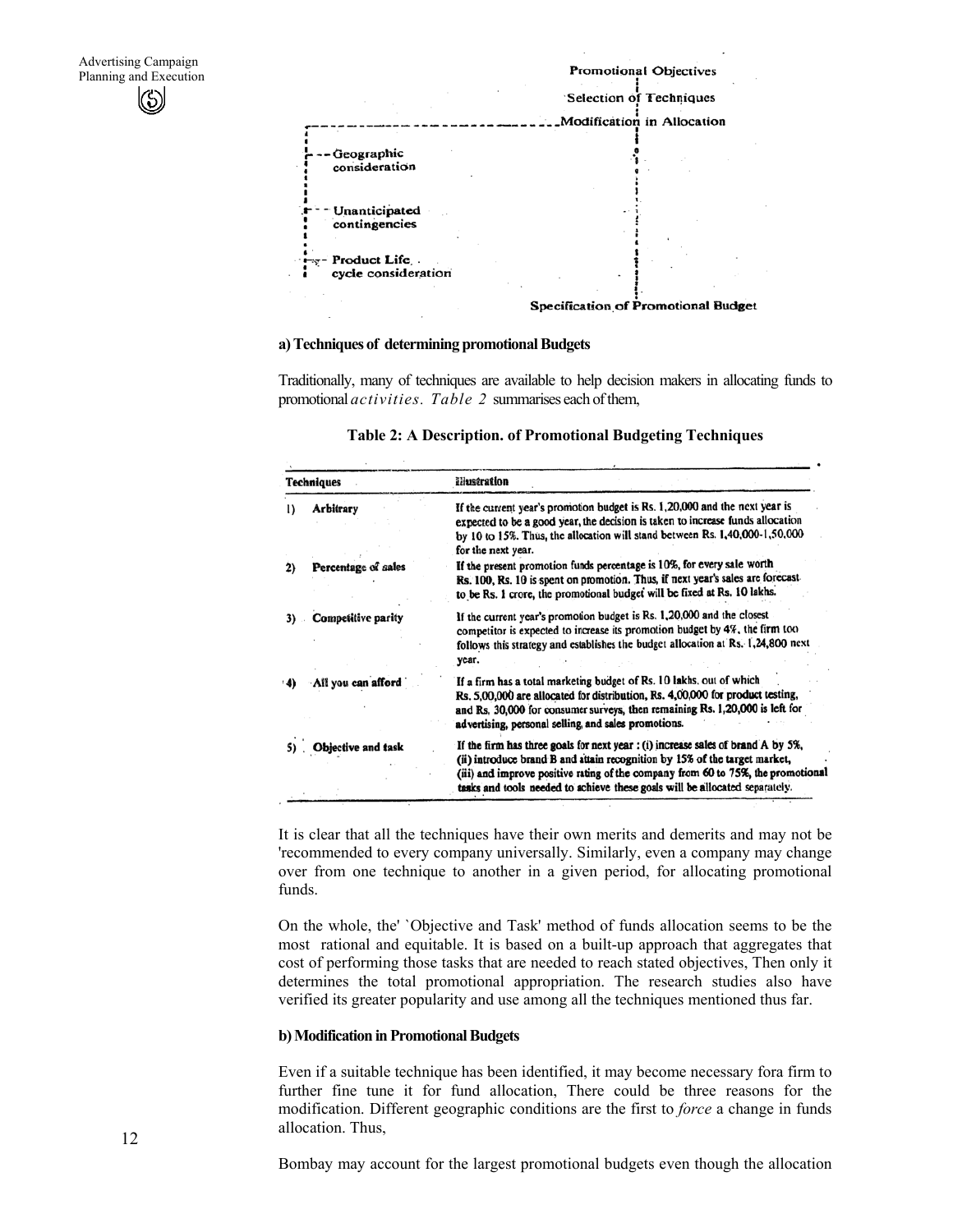

#### **a) Techniques of determining promotional Budgets**

Traditionally, many of techniques are available to help decision makers in allocating funds to promotional *activities. Table 2* summarises each of them,

| Techniques |                           | illustration                                                                                                                                                                                                                                                                                                                      |  |  |  |
|------------|---------------------------|-----------------------------------------------------------------------------------------------------------------------------------------------------------------------------------------------------------------------------------------------------------------------------------------------------------------------------------|--|--|--|
| $\bf{I}$   | Arbitrary                 | If the current year's promotion budget is Rs. 1,20,000 and the next year is<br>expected to be a good year, the decision is taken to increase funds allocation<br>by 10 to 15%. Thus, the allocation will stand between Rs. 1,40,000-1,50,000<br>for the next year.                                                                |  |  |  |
| 2)         | Percentage of sales       | If the present promotion funds percentage is 10%, for every sale worth<br>Rs. 100, Rs. 10 is spent on promotion. Thus, if next year's sales are forecast<br>to be Rs. 1 crore, the promotional budget will be fixed at Rs. 10 lakhs.                                                                                              |  |  |  |
| 3)         | Competitive parity        | If the current year's promotion budget is Rs. 1,20,000 and the closest<br>competitor is expected to increase its promotion budget by 4%, the firm too<br>follows this strategy and establishes the budget allocation at Rs. 1,24,800 next<br>year.                                                                                |  |  |  |
|            | All you can afford        | If a firm has a total marketing budget of Rs. 10 lakhs, out of which<br>Rs. 5,00,000 are allocated for distribution, Rs. 4,00,000 for product testing,<br>and Rs, 30,000 for consumer surveys, then remaining Rs. 1,20,000 is left for<br>advertising, personal selling, and sales promotions.                                    |  |  |  |
|            | <b>Objective and task</b> | If the firm has three goals for next year : (i) increase sales of brand A by 5%,<br>(ii) introduce brand B and attain recognition by 15% of the target market,<br>(iii) and improve positive rating of the company from 60 to 75%, the promotional<br>tasks and tools needed to achieve these goals will be allocated separately. |  |  |  |

#### **Table 2: A Description. of Promotional Budgeting Techniques**

It is clear that all the techniques have their own merits and demerits and may not be 'recommended to every company universally. Similarly, even a company may change over from one technique to another in a given period, for allocating promotional funds.

On the whole, the' `Objective and Task' method of funds allocation seems to be the most rational and equitable. It is based on a built-up approach that aggregates that cost of performing those tasks that are needed to reach stated objectives, Then only it determines the total promotional appropriation. The research studies also have verified its greater popularity and use among all the techniques mentioned thus far.

#### **b) Modification in Promotional Budgets**

Even if a suitable technique has been identified, it may become necessary fora firm to further fine tune it for fund allocation, There could be three reasons for the modification. Different geographic conditions are the first to *force* a change in funds allocation. Thus,

Bombay may account for the largest promotional budgets even though the allocation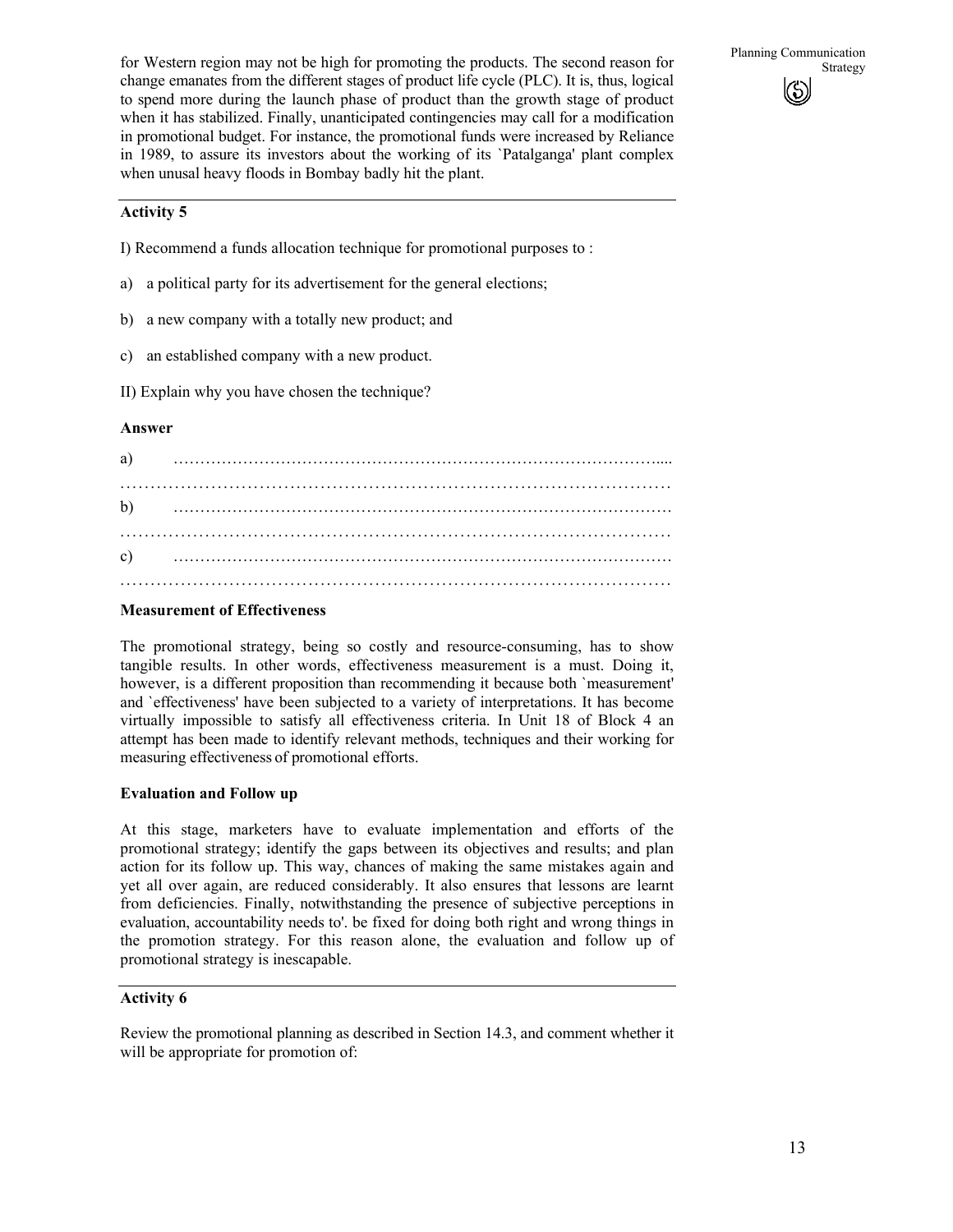for Western region may not be high for promoting the products. The second reason for Strategy change emanates from the different stages of product life cycle (PLC). It is, thus, logical to spend more during the launch phase of product than the growth stage of product when it has stabilized. Finally, unanticipated contingencies may call for a modification in promotional budget. For instance, the promotional funds were increased by Reliance in 1989, to assure its investors about the working of its `Patalganga' plant complex when unusal heavy floods in Bombay badly hit the plant.

Planning Communication  $\binom{c}{b}$ 

#### **Activity 5**

- I) Recommend a funds allocation technique for promotional purposes to :
- a) a political party for its advertisement for the general elections;
- b) a new company with a totally new product; and
- c) an established company with a new product.
- II) Explain why you have chosen the technique?

#### **Answer**

| a) |  | $\begin{minipage}{0.9\linewidth} \begin{tabular}{l} \hline \multicolumn{3}{l}{} & \multicolumn{3}{l}{} & \multicolumn{3}{l}{} & \multicolumn{3}{l}{} \\ \multicolumn{3}{l}{} & \multicolumn{3}{l}{} & \multicolumn{3}{l}{} & \multicolumn{3}{l}{} \\ \multicolumn{3}{l}{} & \multicolumn{3}{l}{} & \multicolumn{3}{l}{} & \multicolumn{3}{l}{} \\ \multicolumn{3}{l}{} & \multicolumn{3}{l}{} & \multicolumn{3}{l}{} \\ \multicolumn{3}{l}{} & \multicolumn{3}{l}{} & \multicolumn{3}{l}$ |  |
|----|--|-------------------------------------------------------------------------------------------------------------------------------------------------------------------------------------------------------------------------------------------------------------------------------------------------------------------------------------------------------------------------------------------------------------------------------------------------------------------------------------------|--|
|    |  |                                                                                                                                                                                                                                                                                                                                                                                                                                                                                           |  |
|    |  |                                                                                                                                                                                                                                                                                                                                                                                                                                                                                           |  |
|    |  |                                                                                                                                                                                                                                                                                                                                                                                                                                                                                           |  |

#### **Measurement of Effectiveness**

The promotional strategy, being so costly and resource-consuming, has to show tangible results. In other words, effectiveness measurement is a must. Doing it, however, is a different proposition than recommending it because both `measurement' and `effectiveness' have been subjected to a variety of interpretations. It has become virtually impossible to satisfy all effectiveness criteria. In Unit 18 of Block 4 an attempt has been made to identify relevant methods, techniques and their working for measuring effectiveness of promotional efforts.

#### **Evaluation and Follow up**

At this stage, marketers have to evaluate implementation and efforts of the promotional strategy; identify the gaps between its objectives and results; and plan action for its follow up. This way, chances of making the same mistakes again and yet all over again, are reduced considerably. It also ensures that lessons are learnt from deficiencies. Finally, notwithstanding the presence of subjective perceptions in evaluation, accountability needs to'. be fixed for doing both right and wrong things in the promotion strategy. For this reason alone, the evaluation and follow up of promotional strategy is inescapable.

#### **Activity 6**

Review the promotional planning as described in Section 14.3, and comment whether it will be appropriate for promotion of: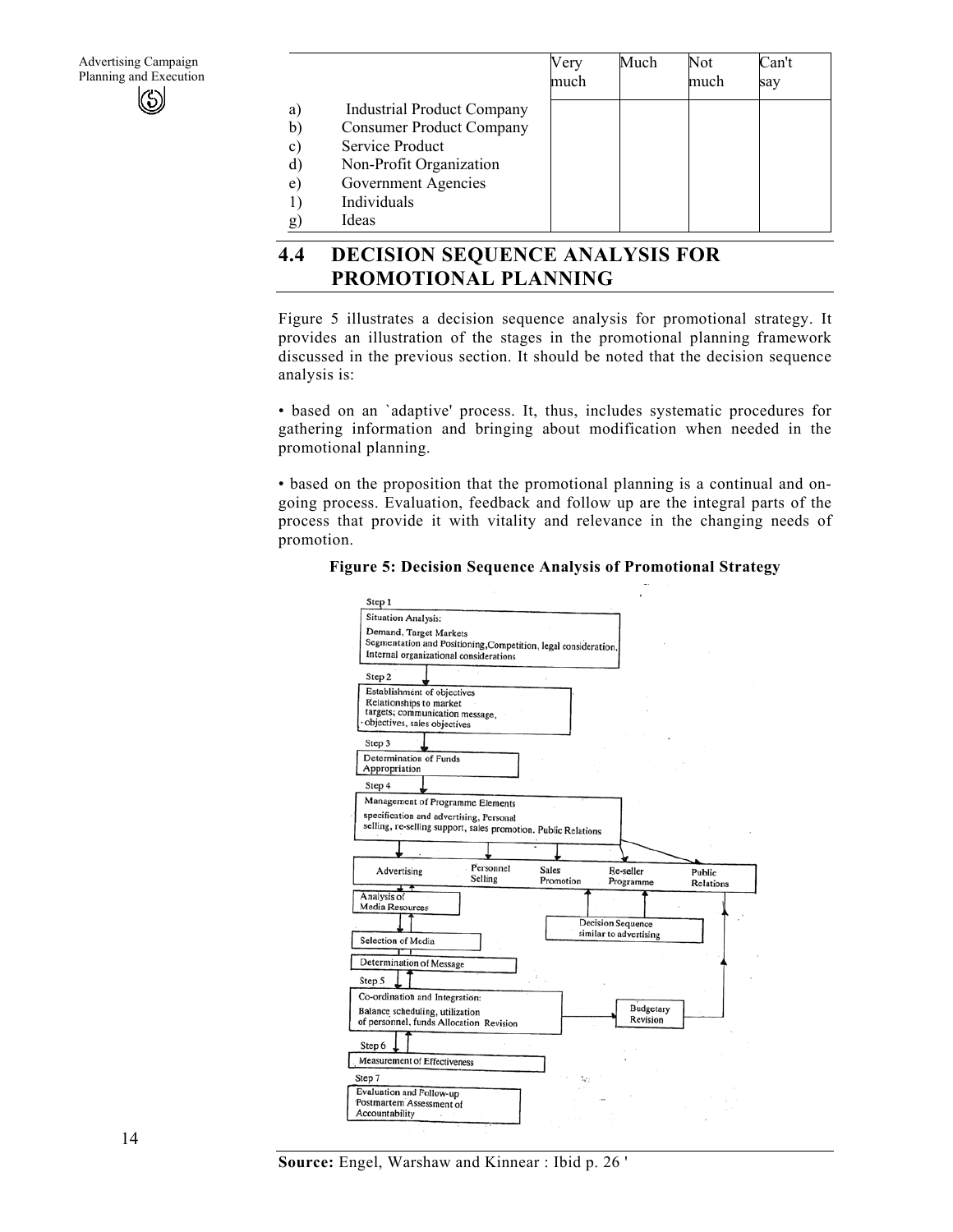|              |                                   | Very<br>much | Much | Not<br>much | Can't<br>say |
|--------------|-----------------------------------|--------------|------|-------------|--------------|
| a)           | <b>Industrial Product Company</b> |              |      |             |              |
| b)           | <b>Consumer Product Company</b>   |              |      |             |              |
| $\mathbf{c}$ | Service Product                   |              |      |             |              |
| d)           | Non-Profit Organization           |              |      |             |              |
| e)           | Government Agencies               |              |      |             |              |
|              | Individuals                       |              |      |             |              |
| g)           | Ideas                             |              |      |             |              |

# **4.4 DECISION SEQUENCE ANALYSIS FOR PROMOTIONAL PLANNING**

Figure 5 illustrates a decision sequence analysis for promotional strategy. It provides an illustration of the stages in the promotional planning framework discussed in the previous section. It should be noted that the decision sequence analysis is:

• based on an `adaptive' process. It, thus, includes systematic procedures for gathering information and bringing about modification when needed in the promotional planning.

• based on the proposition that the promotional planning is a continual and ongoing process. Evaluation, feedback and follow up are the integral parts of the process that provide it with vitality and relevance in the changing needs of promotion.